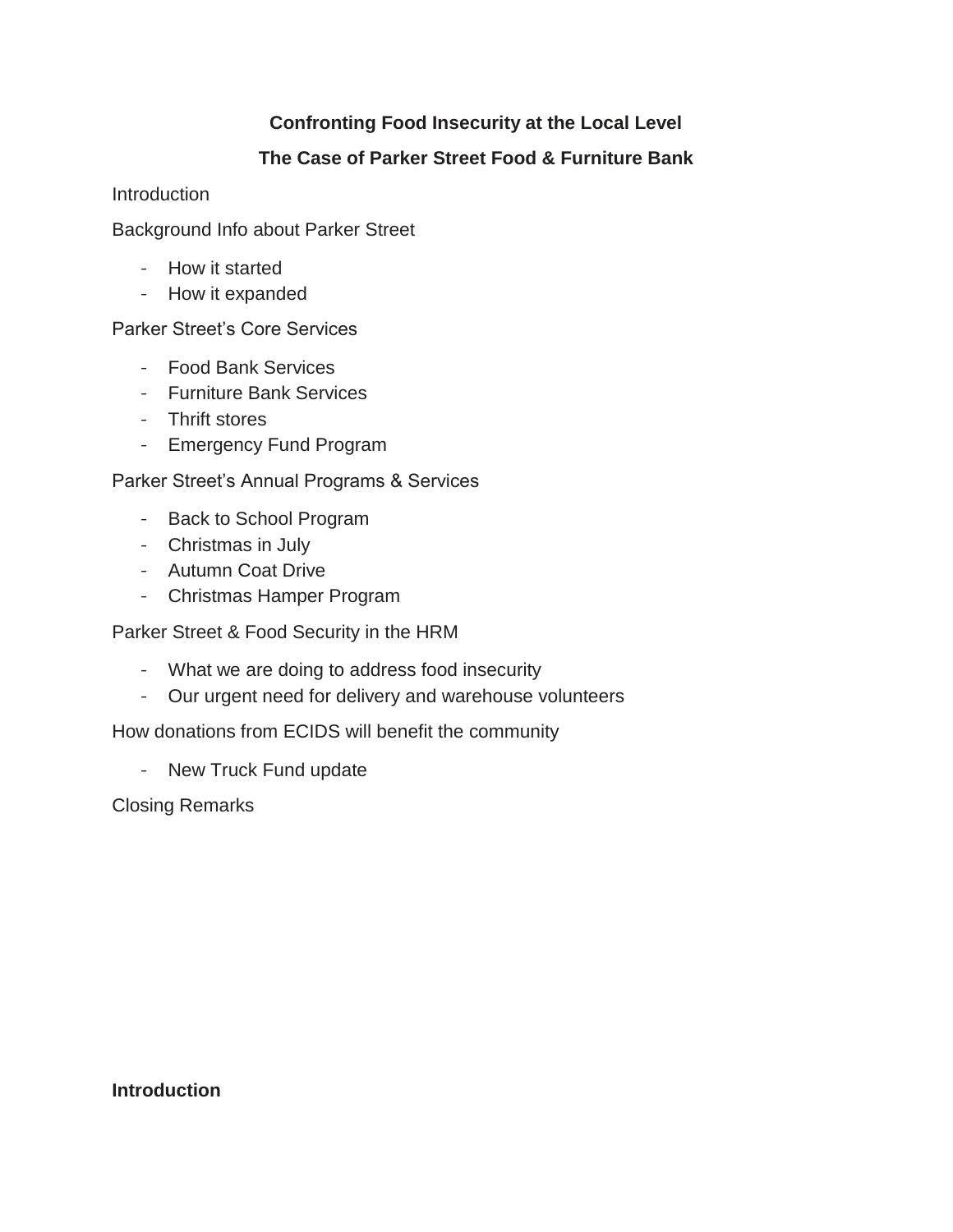## **Confronting Food Insecurity at the Local Level**

## **The Case of Parker Street Food & Furniture Bank**

**Introduction** 

Background Info about Parker Street

- How it started
- How it expanded

Parker Street's Core Services

- Food Bank Services
- Furniture Bank Services
- Thrift stores
- Emergency Fund Program

Parker Street's Annual Programs & Services

- Back to School Program
- Christmas in July
- Autumn Coat Drive
- Christmas Hamper Program

Parker Street & Food Security in the HRM

- What we are doing to address food insecurity
- Our urgent need for delivery and warehouse volunteers

How donations from ECIDS will benefit the community

- New Truck Fund update

Closing Remarks

**Introduction**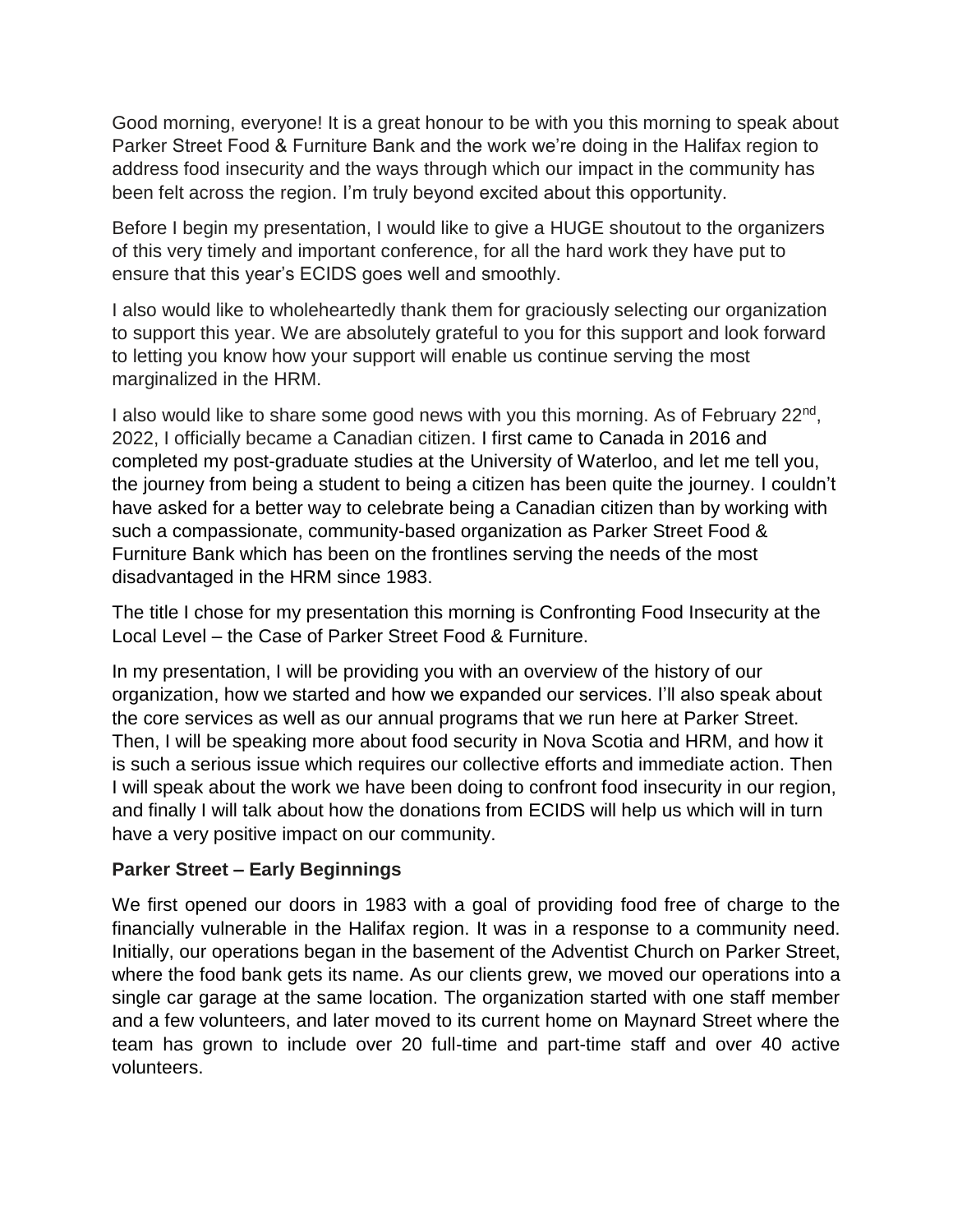Good morning, everyone! It is a great honour to be with you this morning to speak about Parker Street Food & Furniture Bank and the work we're doing in the Halifax region to address food insecurity and the ways through which our impact in the community has been felt across the region. I'm truly beyond excited about this opportunity.

Before I begin my presentation, I would like to give a HUGE shoutout to the organizers of this very timely and important conference, for all the hard work they have put to ensure that this year's ECIDS goes well and smoothly.

I also would like to wholeheartedly thank them for graciously selecting our organization to support this year. We are absolutely grateful to you for this support and look forward to letting you know how your support will enable us continue serving the most marginalized in the HRM.

I also would like to share some good news with you this morning. As of February 22<sup>nd</sup>, 2022, I officially became a Canadian citizen. I first came to Canada in 2016 and completed my post-graduate studies at the University of Waterloo, and let me tell you, the journey from being a student to being a citizen has been quite the journey. I couldn't have asked for a better way to celebrate being a Canadian citizen than by working with such a compassionate, community-based organization as Parker Street Food & Furniture Bank which has been on the frontlines serving the needs of the most disadvantaged in the HRM since 1983.

The title I chose for my presentation this morning is Confronting Food Insecurity at the Local Level – the Case of Parker Street Food & Furniture.

In my presentation, I will be providing you with an overview of the history of our organization, how we started and how we expanded our services. I'll also speak about the core services as well as our annual programs that we run here at Parker Street. Then, I will be speaking more about food security in Nova Scotia and HRM, and how it is such a serious issue which requires our collective efforts and immediate action. Then I will speak about the work we have been doing to confront food insecurity in our region, and finally I will talk about how the donations from ECIDS will help us which will in turn have a very positive impact on our community.

## **Parker Street – Early Beginnings**

We first opened our doors in 1983 with a goal of providing food free of charge to the financially vulnerable in the Halifax region. It was in a response to a community need. Initially, our operations began in the basement of the Adventist Church on Parker Street, where the food bank gets its name. As our clients grew, we moved our operations into a single car garage at the same location. The organization started with one staff member and a few volunteers, and later moved to its current home on Maynard Street where the team has grown to include over 20 full-time and part-time staff and over 40 active volunteers.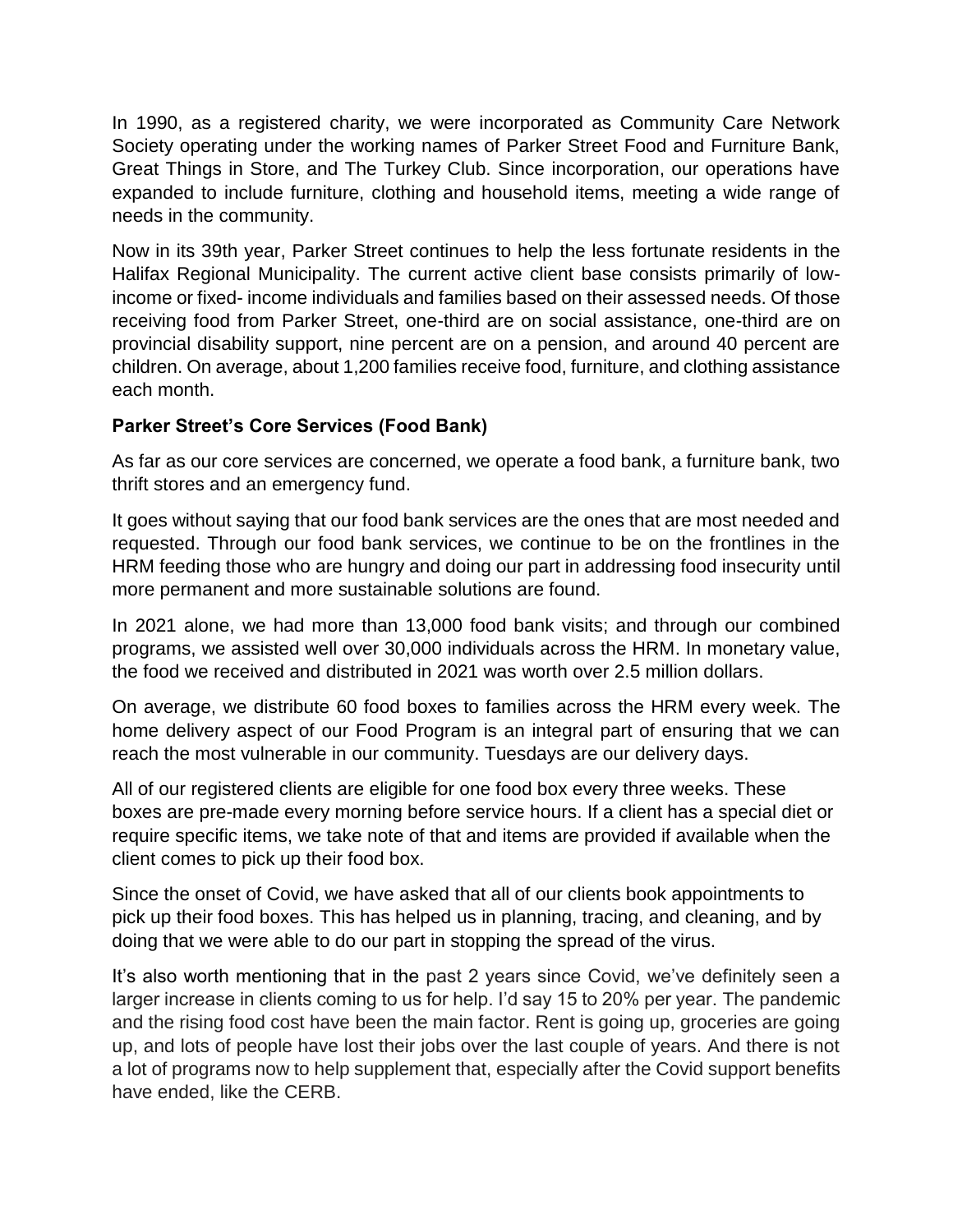In 1990, as a registered charity, we were incorporated as Community Care Network Society operating under the working names of Parker Street Food and Furniture Bank, Great Things in Store, and The Turkey Club. Since incorporation, our operations have expanded to include furniture, clothing and household items, meeting a wide range of needs in the community.

Now in its 39th year, Parker Street continues to help the less fortunate residents in the Halifax Regional Municipality. The current active client base consists primarily of lowincome or fixed- income individuals and families based on their assessed needs. Of those receiving food from Parker Street, one-third are on social assistance, one-third are on provincial disability support, nine percent are on a pension, and around 40 percent are children. On average, about 1,200 families receive food, furniture, and clothing assistance each month.

## **Parker Street's Core Services (Food Bank)**

As far as our core services are concerned, we operate a food bank, a furniture bank, two thrift stores and an emergency fund.

It goes without saying that our food bank services are the ones that are most needed and requested. Through our food bank services, we continue to be on the frontlines in the HRM feeding those who are hungry and doing our part in addressing food insecurity until more permanent and more sustainable solutions are found.

In 2021 alone, we had more than 13,000 food bank visits; and through our combined programs, we assisted well over 30,000 individuals across the HRM. In monetary value, the food we received and distributed in 2021 was worth over 2.5 million dollars.

On average, we distribute 60 food boxes to families across the HRM every week. The home delivery aspect of our Food Program is an integral part of ensuring that we can reach the most vulnerable in our community. Tuesdays are our delivery days.

All of our registered clients are eligible for one food box every three weeks. These boxes are pre-made every morning before service hours. If a client has a special diet or require specific items, we take note of that and items are provided if available when the client comes to pick up their food box.

Since the onset of Covid, we have asked that all of our clients book appointments to pick up their food boxes. This has helped us in planning, tracing, and cleaning, and by doing that we were able to do our part in stopping the spread of the virus.

It's also worth mentioning that in the past 2 years since Covid, we've definitely seen a larger increase in clients coming to us for help. I'd say 15 to 20% per year. The pandemic and the rising food cost have been the main factor. Rent is going up, groceries are going up, and lots of people have lost their jobs over the last couple of years. And there is not a lot of programs now to help supplement that, especially after the Covid support benefits have ended, like the CERB.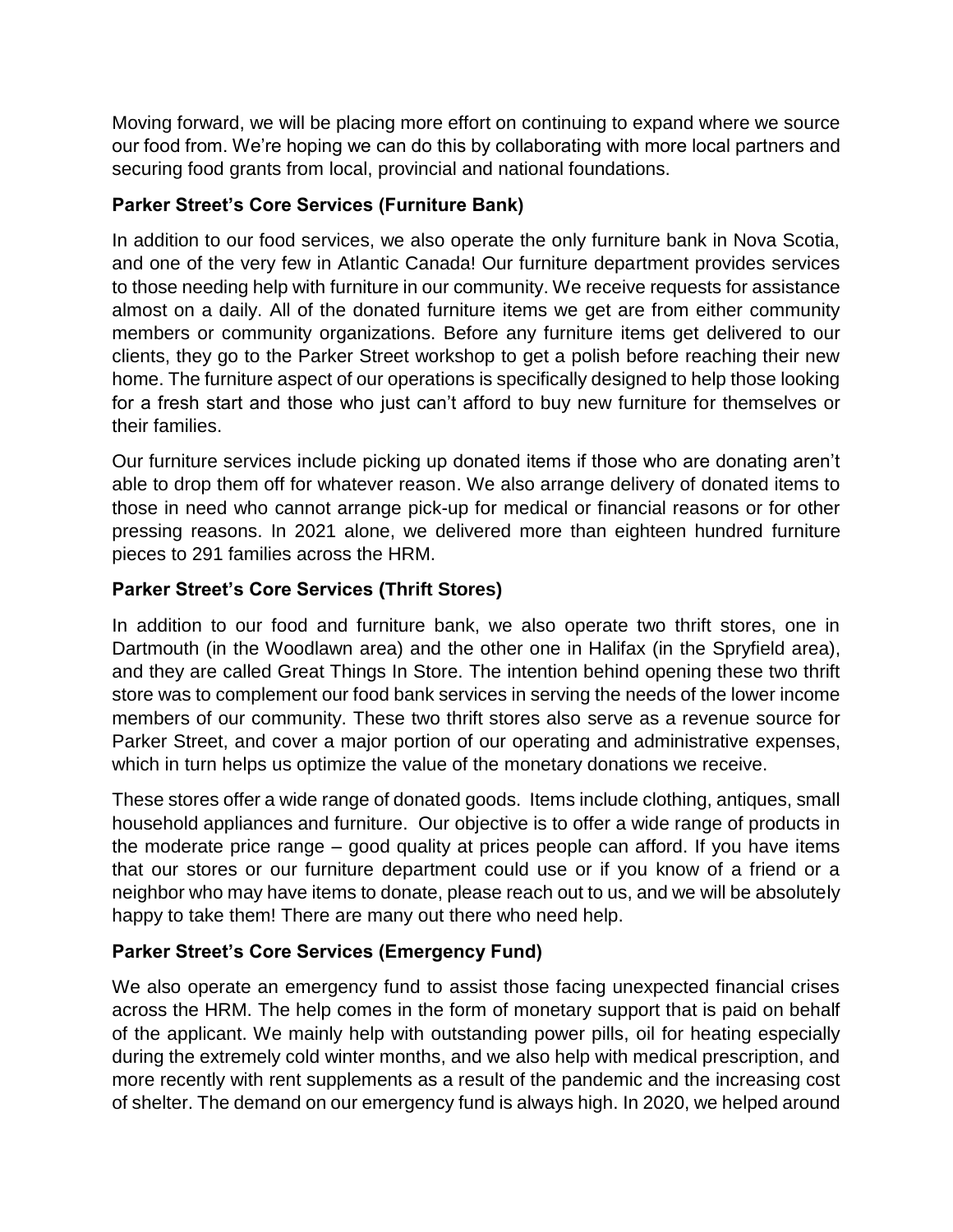Moving forward, we will be placing more effort on continuing to expand where we source our food from. We're hoping we can do this by collaborating with more local partners and securing food grants from local, provincial and national foundations.

## **Parker Street's Core Services (Furniture Bank)**

In addition to our food services, we also operate the only furniture bank in Nova Scotia, and one of the very few in Atlantic Canada! Our furniture department provides services to those needing help with furniture in our community. We receive requests for assistance almost on a daily. All of the donated furniture items we get are from either community members or community organizations. Before any furniture items get delivered to our clients, they go to the Parker Street workshop to get a polish before reaching their new home. The furniture aspect of our operations is specifically designed to help those looking for a fresh start and those who just can't afford to buy new furniture for themselves or their families.

Our furniture services include picking up donated items if those who are donating aren't able to drop them off for whatever reason. We also arrange delivery of donated items to those in need who cannot arrange pick-up for medical or financial reasons or for other pressing reasons. In 2021 alone, we delivered more than eighteen hundred furniture pieces to 291 families across the HRM.

# **Parker Street's Core Services (Thrift Stores)**

In addition to our food and furniture bank, we also operate two thrift stores, one in Dartmouth (in the Woodlawn area) and the other one in Halifax (in the Spryfield area), and they are called Great Things In Store. The intention behind opening these two thrift store was to complement our food bank services in serving the needs of the lower income members of our community. These two thrift stores also serve as a revenue source for Parker Street, and cover a major portion of our operating and administrative expenses, which in turn helps us optimize the value of the monetary donations we receive.

These stores offer a wide range of donated goods. Items include clothing, antiques, small household appliances and furniture. Our objective is to offer a wide range of products in the moderate price range – good quality at prices people can afford. If you have items that our stores or our furniture department could use or if you know of a friend or a neighbor who may have items to donate, please reach out to us, and we will be absolutely happy to take them! There are many out there who need help.

# **Parker Street's Core Services (Emergency Fund)**

We also operate an emergency fund to assist those facing unexpected financial crises across the HRM. The help comes in the form of monetary support that is paid on behalf of the applicant. We mainly help with outstanding power pills, oil for heating especially during the extremely cold winter months, and we also help with medical prescription, and more recently with rent supplements as a result of the pandemic and the increasing cost of shelter. The demand on our emergency fund is always high. In 2020, we helped around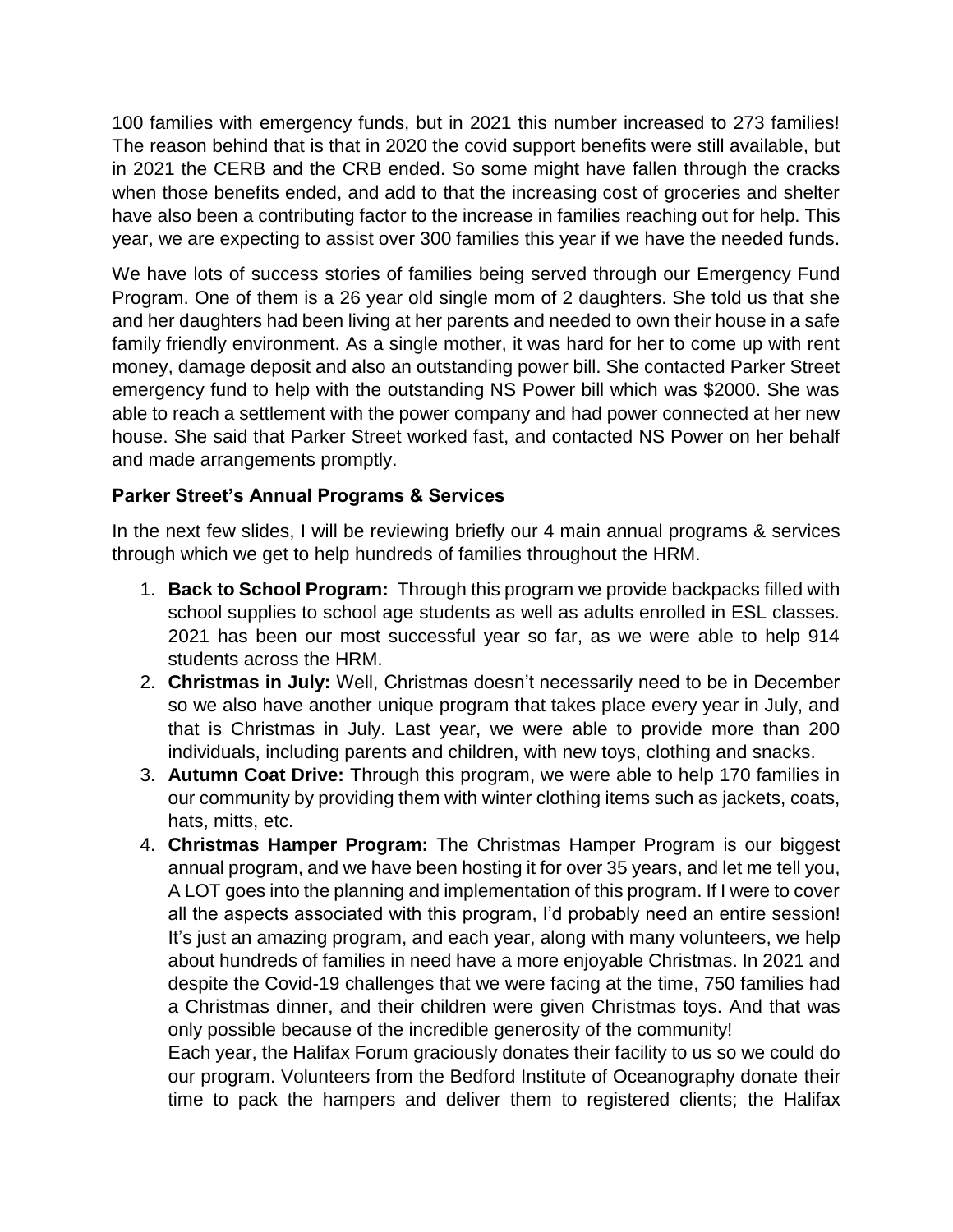100 families with emergency funds, but in 2021 this number increased to 273 families! The reason behind that is that in 2020 the covid support benefits were still available, but in 2021 the CERB and the CRB ended. So some might have fallen through the cracks when those benefits ended, and add to that the increasing cost of groceries and shelter have also been a contributing factor to the increase in families reaching out for help. This year, we are expecting to assist over 300 families this year if we have the needed funds.

We have lots of success stories of families being served through our Emergency Fund Program. One of them is a 26 year old single mom of 2 daughters. She told us that she and her daughters had been living at her parents and needed to own their house in a safe family friendly environment. As a single mother, it was hard for her to come up with rent money, damage deposit and also an outstanding power bill. She contacted Parker Street emergency fund to help with the outstanding NS Power bill which was \$2000. She was able to reach a settlement with the power company and had power connected at her new house. She said that Parker Street worked fast, and contacted NS Power on her behalf and made arrangements promptly.

## **Parker Street's Annual Programs & Services**

In the next few slides, I will be reviewing briefly our 4 main annual programs & services through which we get to help hundreds of families throughout the HRM.

- 1. **Back to School Program:** Through this program we provide backpacks filled with school supplies to school age students as well as adults enrolled in ESL classes. 2021 has been our most successful year so far, as we were able to help 914 students across the HRM.
- 2. **Christmas in July:** Well, Christmas doesn't necessarily need to be in December so we also have another unique program that takes place every year in July, and that is Christmas in July. Last year, we were able to provide more than 200 individuals, including parents and children, with new toys, clothing and snacks.
- 3. **Autumn Coat Drive:** Through this program, we were able to help 170 families in our community by providing them with winter clothing items such as jackets, coats, hats, mitts, etc.
- 4. **Christmas Hamper Program:** The Christmas Hamper Program is our biggest annual program, and we have been hosting it for over 35 years, and let me tell you, A LOT goes into the planning and implementation of this program. If I were to cover all the aspects associated with this program, I'd probably need an entire session! It's just an amazing program, and each year, along with many volunteers, we help about hundreds of families in need have a more enjoyable Christmas. In 2021 and despite the Covid-19 challenges that we were facing at the time, 750 families had a Christmas dinner, and their children were given Christmas toys. And that was only possible because of the incredible generosity of the community!

Each year, the Halifax Forum graciously donates their facility to us so we could do our program. Volunteers from the Bedford Institute of Oceanography donate their time to pack the hampers and deliver them to registered clients; the Halifax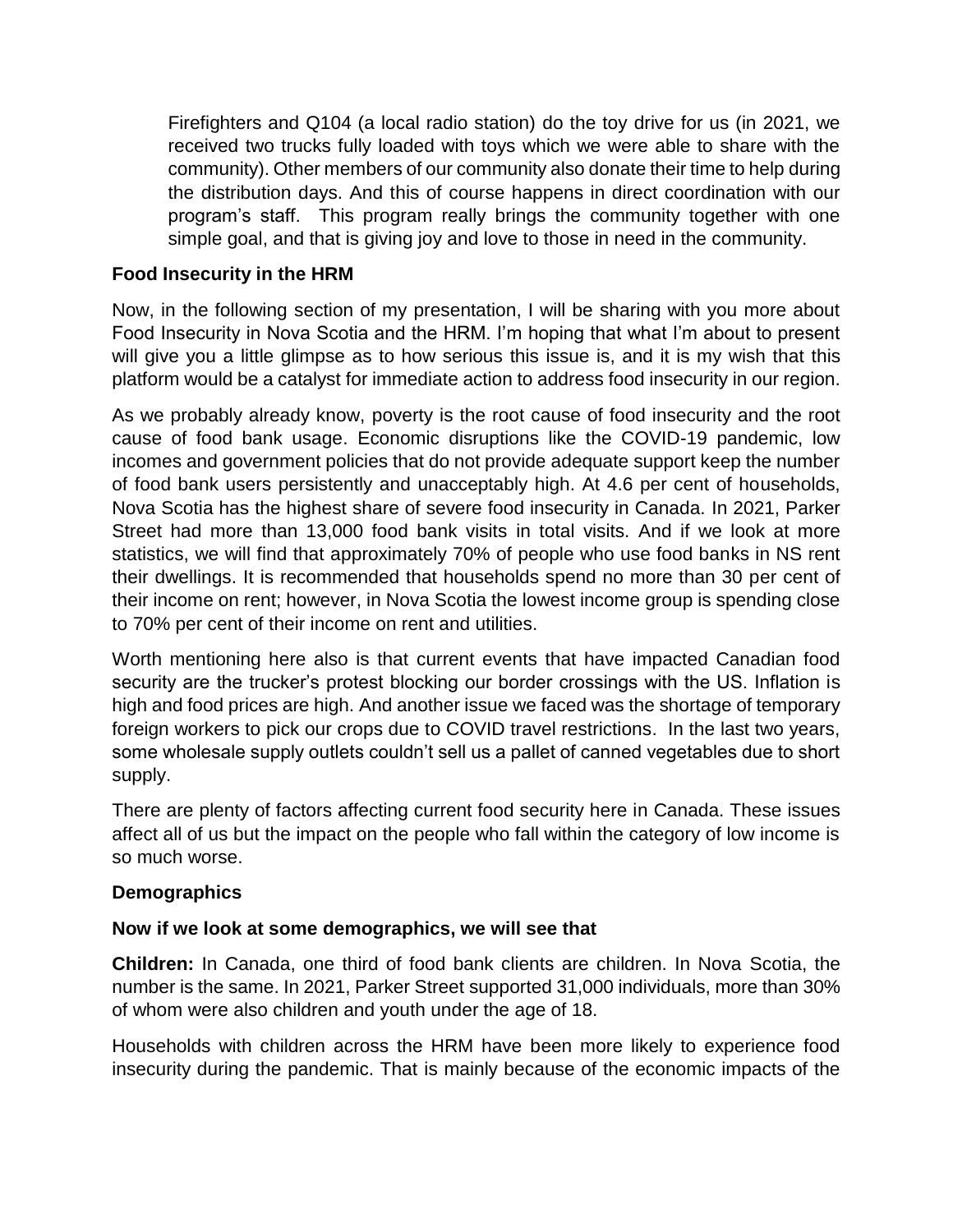Firefighters and Q104 (a local radio station) do the toy drive for us (in 2021, we received two trucks fully loaded with toys which we were able to share with the community). Other members of our community also donate their time to help during the distribution days. And this of course happens in direct coordination with our program's staff. This program really brings the community together with one simple goal, and that is giving joy and love to those in need in the community.

#### **Food Insecurity in the HRM**

Now, in the following section of my presentation, I will be sharing with you more about Food Insecurity in Nova Scotia and the HRM. I'm hoping that what I'm about to present will give you a little glimpse as to how serious this issue is, and it is my wish that this platform would be a catalyst for immediate action to address food insecurity in our region.

As we probably already know, poverty is the root cause of food insecurity and the root cause of food bank usage. Economic disruptions like the COVID-19 pandemic, low incomes and government policies that do not provide adequate support keep the number of food bank users persistently and unacceptably high. At 4.6 per cent of households, Nova Scotia has the highest share of severe food insecurity in Canada. In 2021, Parker Street had more than 13,000 food bank visits in total visits. And if we look at more statistics, we will find that approximately 70% of people who use food banks in NS rent their dwellings. It is recommended that households spend no more than 30 per cent of their income on rent; however, in Nova Scotia the lowest income group is spending close to 70% per cent of their income on rent and utilities.

Worth mentioning here also is that current events that have impacted Canadian food security are the trucker's protest blocking our border crossings with the US. Inflation is high and food prices are high. And another issue we faced was the shortage of temporary foreign workers to pick our crops due to COVID travel restrictions. In the last two years, some wholesale supply outlets couldn't sell us a pallet of canned vegetables due to short supply.

There are plenty of factors affecting current food security here in Canada. These issues affect all of us but the impact on the people who fall within the category of low income is so much worse.

#### **Demographics**

#### **Now if we look at some demographics, we will see that**

**Children:** In Canada, one third of food bank clients are children. In Nova Scotia, the number is the same. In 2021, Parker Street supported 31,000 individuals, more than 30% of whom were also children and youth under the age of 18.

Households with children across the HRM have been more likely to experience food insecurity during the pandemic. That is mainly because of the economic impacts of the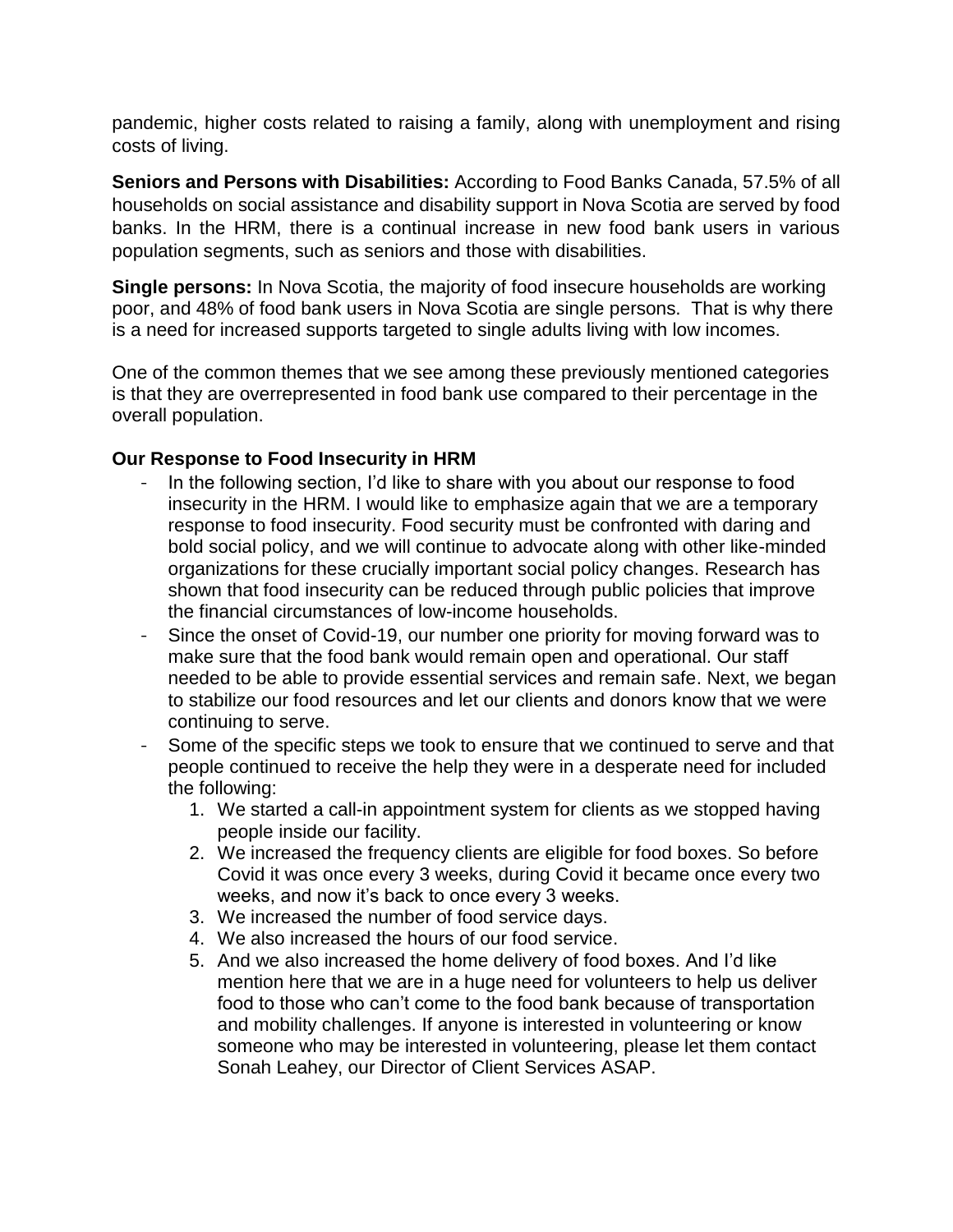pandemic, higher costs related to raising a family, along with unemployment and rising costs of living.

**Seniors and Persons with Disabilities:** According to Food Banks Canada, 57.5% of all households on social assistance and disability support in Nova Scotia are served by food banks. In the HRM, there is a continual increase in new food bank users in various population segments, such as seniors and those with disabilities.

**Single persons:** In Nova Scotia, the majority of food insecure households are working poor, and 48% of food bank users in Nova Scotia are single persons. That is why there is a need for increased supports targeted to single adults living with low incomes.

One of the common themes that we see among these previously mentioned categories is that they are overrepresented in food bank use compared to their percentage in the overall population.

#### **Our Response to Food Insecurity in HRM**

- In the following section, I'd like to share with you about our response to food insecurity in the HRM. I would like to emphasize again that we are a temporary response to food insecurity. Food security must be confronted with daring and bold social policy, and we will continue to advocate along with other like-minded organizations for these crucially important social policy changes. Research has shown that food insecurity can be reduced through public policies that improve the financial circumstances of low-income households.
- Since the onset of Covid-19, our number one priority for moving forward was to make sure that the food bank would remain open and operational. Our staff needed to be able to provide essential services and remain safe. Next, we began to stabilize our food resources and let our clients and donors know that we were continuing to serve.
- Some of the specific steps we took to ensure that we continued to serve and that people continued to receive the help they were in a desperate need for included the following:
	- 1. We started a call-in appointment system for clients as we stopped having people inside our facility.
	- 2. We increased the frequency clients are eligible for food boxes. So before Covid it was once every 3 weeks, during Covid it became once every two weeks, and now it's back to once every 3 weeks.
	- 3. We increased the number of food service days.
	- 4. We also increased the hours of our food service.
	- 5. And we also increased the home delivery of food boxes. And I'd like mention here that we are in a huge need for volunteers to help us deliver food to those who can't come to the food bank because of transportation and mobility challenges. If anyone is interested in volunteering or know someone who may be interested in volunteering, please let them contact Sonah Leahey, our Director of Client Services ASAP.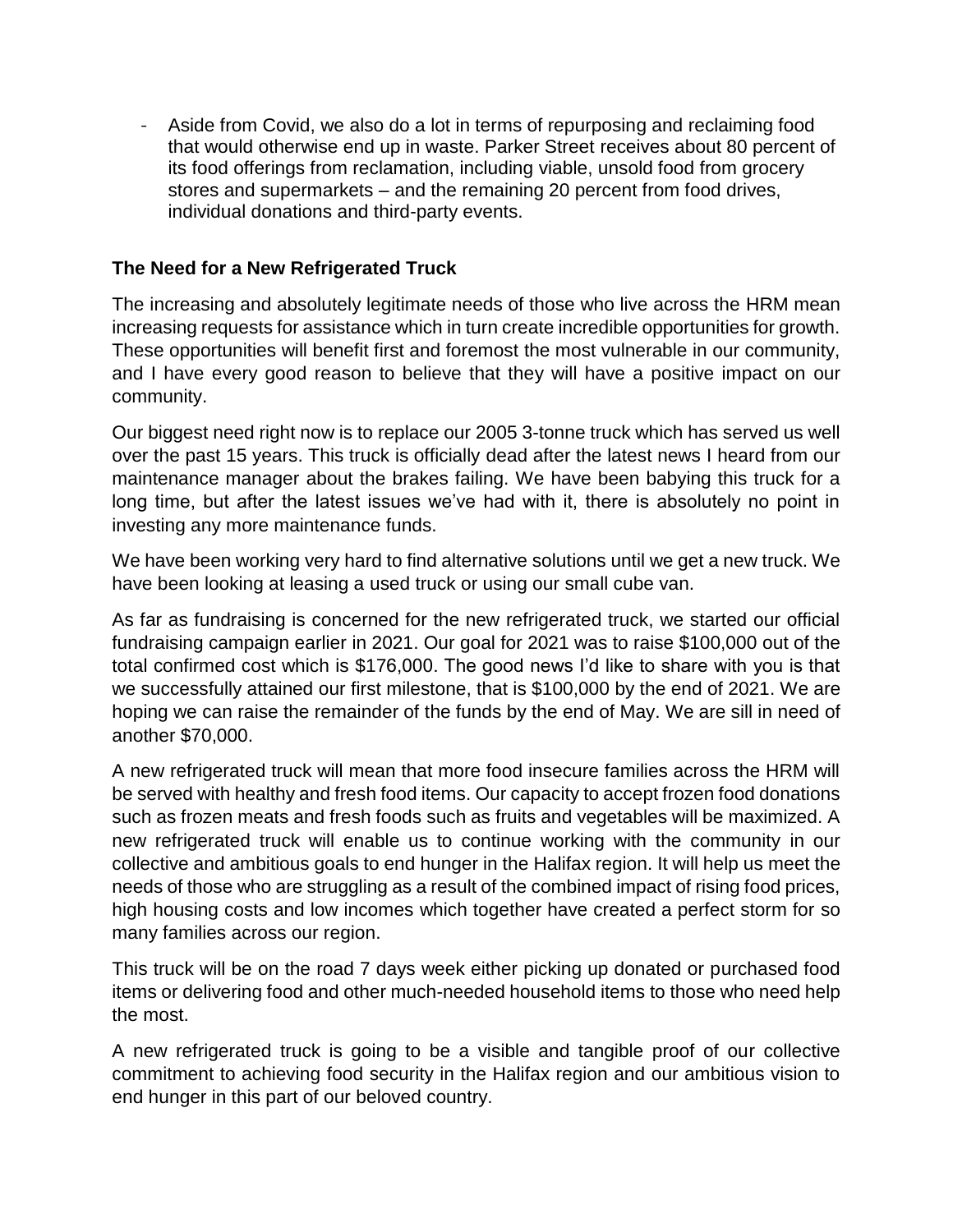- Aside from Covid, we also do a lot in terms of repurposing and reclaiming food that would otherwise end up in waste. Parker Street receives about 80 percent of its food offerings from reclamation, including viable, unsold food from grocery stores and supermarkets – and the remaining 20 percent from food drives, individual donations and third-party events.

### **The Need for a New Refrigerated Truck**

The increasing and absolutely legitimate needs of those who live across the HRM mean increasing requests for assistance which in turn create incredible opportunities for growth. These opportunities will benefit first and foremost the most vulnerable in our community, and I have every good reason to believe that they will have a positive impact on our community.

Our biggest need right now is to replace our 2005 3-tonne truck which has served us well over the past 15 years. This truck is officially dead after the latest news I heard from our maintenance manager about the brakes failing. We have been babying this truck for a long time, but after the latest issues we've had with it, there is absolutely no point in investing any more maintenance funds.

We have been working very hard to find alternative solutions until we get a new truck. We have been looking at leasing a used truck or using our small cube van.

As far as fundraising is concerned for the new refrigerated truck, we started our official fundraising campaign earlier in 2021. Our goal for 2021 was to raise \$100,000 out of the total confirmed cost which is \$176,000. The good news I'd like to share with you is that we successfully attained our first milestone, that is \$100,000 by the end of 2021. We are hoping we can raise the remainder of the funds by the end of May. We are sill in need of another \$70,000.

A new refrigerated truck will mean that more food insecure families across the HRM will be served with healthy and fresh food items. Our capacity to accept frozen food donations such as frozen meats and fresh foods such as fruits and vegetables will be maximized. A new refrigerated truck will enable us to continue working with the community in our collective and ambitious goals to end hunger in the Halifax region. It will help us meet the needs of those who are struggling as a result of the combined impact of rising food prices, high housing costs and low incomes which together have created a perfect storm for so many families across our region.

This truck will be on the road 7 days week either picking up donated or purchased food items or delivering food and other much-needed household items to those who need help the most.

A new refrigerated truck is going to be a visible and tangible proof of our collective commitment to achieving food security in the Halifax region and our ambitious vision to end hunger in this part of our beloved country.